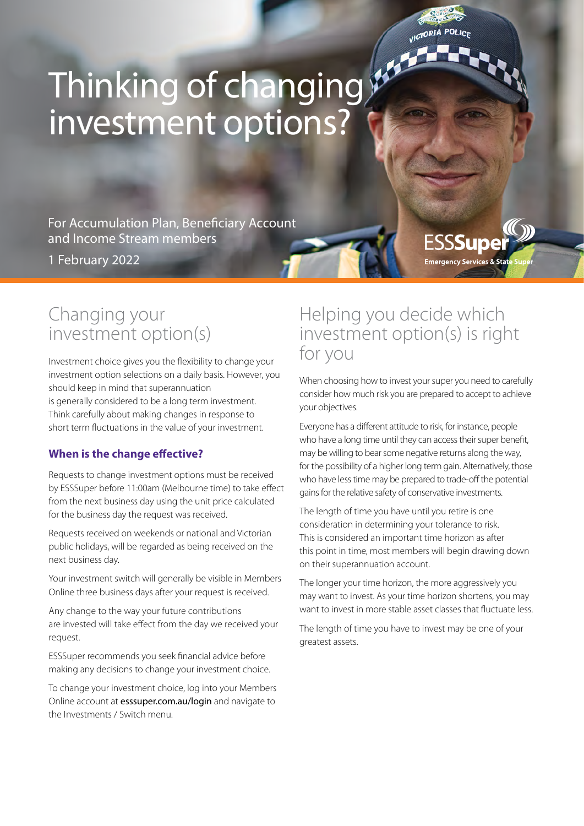# VICTORIA

**ESSSuper** 

**Emergency Services & State** 

# Thinking of changing investment options?

For Accumulation Plan, Beneficiary Account and Income Stream members

1 February 2022

# Changing your investment option(s)

Investment choice gives you the flexibility to change your investment option selections on a daily basis. However, you should keep in mind that superannuation is generally considered to be a long term investment. Think carefully about making changes in response to short term fluctuations in the value of your investment.

# **When is the change effective?**

Requests to change investment options must be received by ESSSuper before 11:00am (Melbourne time) to take effect from the next business day using the unit price calculated for the business day the request was received.

Requests received on weekends or national and Victorian public holidays, will be regarded as being received on the next business day.

Your investment switch will generally be visible in Members Online three business days after your request is received.

Any change to the way your future contributions are invested will take effect from the day we received your request.

ESSSuper recommends you seek financial advice before making any decisions to change your investment choice.

To change your investment choice, log into your Members Online account at esssuper.com.au/login and navigate to the Investments / Switch menu.

# Helping you decide which investment option(s) is right for you

When choosing how to invest your super you need to carefully consider how much risk you are prepared to accept to achieve your objectives.

Everyone has a different attitude to risk, for instance, people who have a long time until they can access their super benefit, may be willing to bear some negative returns along the way, for the possibility of a higher long term gain. Alternatively, those who have less time may be prepared to trade-off the potential gains for the relative safety of conservative investments.

The length of time you have until you retire is one consideration in determining your tolerance to risk. This is considered an important time horizon as after this point in time, most members will begin drawing down on their superannuation account.

The longer your time horizon, the more aggressively you may want to invest. As your time horizon shortens, you may want to invest in more stable asset classes that fluctuate less.

The length of time you have to invest may be one of your greatest assets.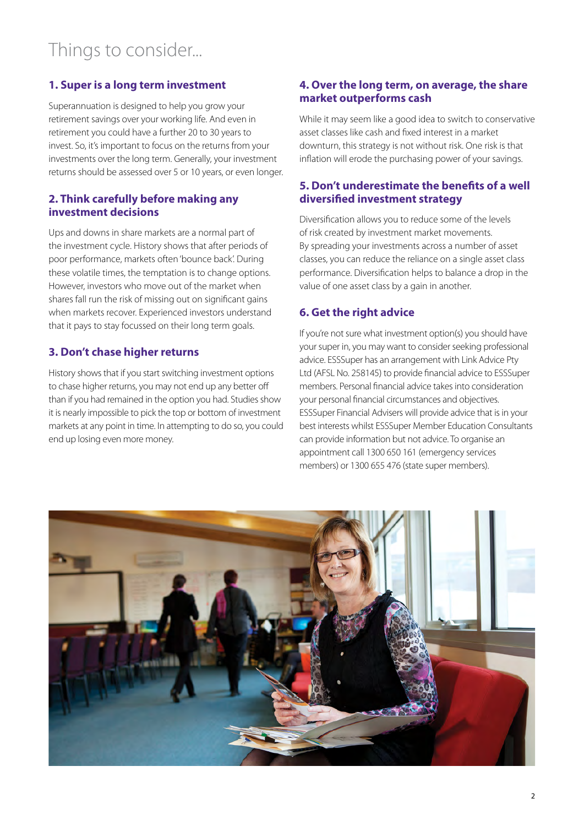# **1. Super is a long term investment**

Superannuation is designed to help you grow your retirement savings over your working life. And even in retirement you could have a further 20 to 30 years to invest. So, it's important to focus on the returns from your investments over the long term. Generally, your investment returns should be assessed over 5 or 10 years, or even longer.

#### **2. Think carefully before making any investment decisions**

Ups and downs in share markets are a normal part of the investment cycle. History shows that after periods of poor performance, markets often 'bounce back'. During these volatile times, the temptation is to change options. However, investors who move out of the market when shares fall run the risk of missing out on significant gains when markets recover. Experienced investors understand that it pays to stay focussed on their long term goals.

# **3. Don't chase higher returns**

History shows that if you start switching investment options to chase higher returns, you may not end up any better off than if you had remained in the option you had. Studies show it is nearly impossible to pick the top or bottom of investment markets at any point in time. In attempting to do so, you could end up losing even more money.

#### **4. Over the long term, on average, the share market outperforms cash**

While it may seem like a good idea to switch to conservative asset classes like cash and fixed interest in a market downturn, this strategy is not without risk. One risk is that inflation will erode the purchasing power of your savings.

#### **5. Don't underestimate the benefits of a well diversified investment strategy**

Diversification allows you to reduce some of the levels of risk created by investment market movements. By spreading your investments across a number of asset classes, you can reduce the reliance on a single asset class performance. Diversification helps to balance a drop in the value of one asset class by a gain in another.

### **6. Get the right advice**

If you're not sure what investment option(s) you should have your super in, you may want to consider seeking professional advice. ESSSuper has an arrangement with Link Advice Pty Ltd (AFSL No. 258145) to provide financial advice to ESSSuper members. Personal financial advice takes into consideration your personal financial circumstances and objectives. ESSSuper Financial Advisers will provide advice that is in your best interests whilst ESSSuper Member Education Consultants can provide information but not advice. To organise an appointment call 1300 650 161 (emergency services members) or 1300 655 476 (state super members).

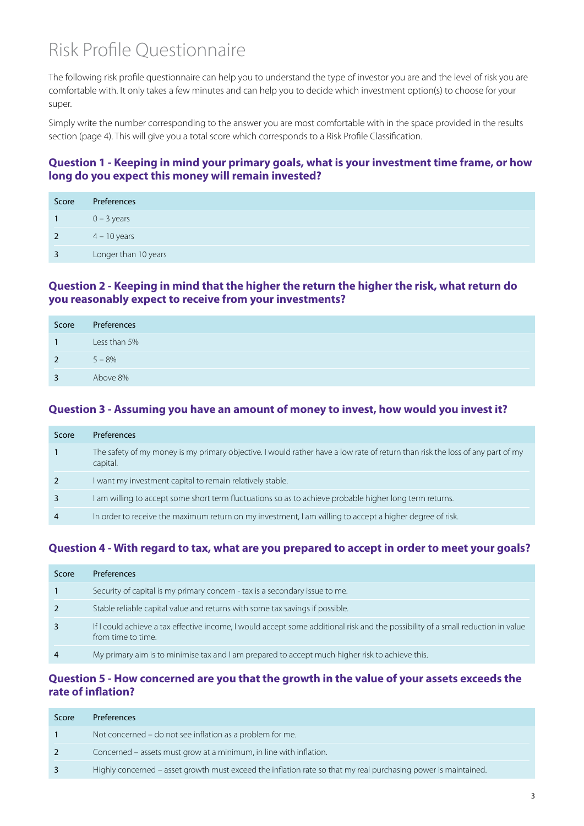# Risk Profile Questionnaire

The following risk profile questionnaire can help you to understand the type of investor you are and the level of risk you are comfortable with. It only takes a few minutes and can help you to decide which investment option(s) to choose for your super.

Simply write the number corresponding to the answer you are most comfortable with in the space provided in the results section (page 4). This will give you a total score which corresponds to a Risk Profile Classification.

#### **Question 1 - Keeping in mind your primary goals, what is your investment time frame, or how long do you expect this money will remain invested?**

| Score          | Preferences          |
|----------------|----------------------|
|                | $0 - 3$ years        |
| $\overline{2}$ | $4 - 10$ years       |
| 3              | Longer than 10 years |

#### **Question 2 - Keeping in mind that the higher the return the higher the risk, what return do you reasonably expect to receive from your investments?**

| Score          | Preferences  |
|----------------|--------------|
| $\overline{1}$ | Less than 5% |
| 2              | $5 - 8%$     |
| $\overline{3}$ | Above 8%     |

#### **Question 3 - Assuming you have an amount of money to invest, how would you invest it?**

| Score          | <b>Preferences</b>                                                                                                                        |
|----------------|-------------------------------------------------------------------------------------------------------------------------------------------|
|                | The safety of my money is my primary objective. I would rather have a low rate of return than risk the loss of any part of my<br>capital. |
| 2              | want my investment capital to remain relatively stable.                                                                                   |
| 3              | I am willing to accept some short term fluctuations so as to achieve probable higher long term returns.                                   |
| $\overline{4}$ | In order to receive the maximum return on my investment, I am willing to accept a higher degree of risk.                                  |

# **Question 4 - With regard to tax, what are you prepared to accept in order to meet your goals?**

| Score          | <b>Preferences</b>                                                                                                                                     |
|----------------|--------------------------------------------------------------------------------------------------------------------------------------------------------|
|                | Security of capital is my primary concern - tax is a secondary issue to me.                                                                            |
| 2              | Stable reliable capital value and returns with some tax savings if possible.                                                                           |
| 3              | If I could achieve a tax effective income, I would accept some additional risk and the possibility of a small reduction in value<br>from time to time. |
| $\overline{4}$ | My primary aim is to minimise tax and I am prepared to accept much higher risk to achieve this.                                                        |

#### **Question 5 - How concerned are you that the growth in the value of your assets exceeds the rate of inflation?**

| Score          | <b>Preferences</b>                                                                                             |
|----------------|----------------------------------------------------------------------------------------------------------------|
|                | Not concerned – do not see inflation as a problem for me.                                                      |
| 2 <sup>7</sup> | Concerned – assets must grow at a minimum, in line with inflation.                                             |
|                | Highly concerned – asset growth must exceed the inflation rate so that my real purchasing power is maintained. |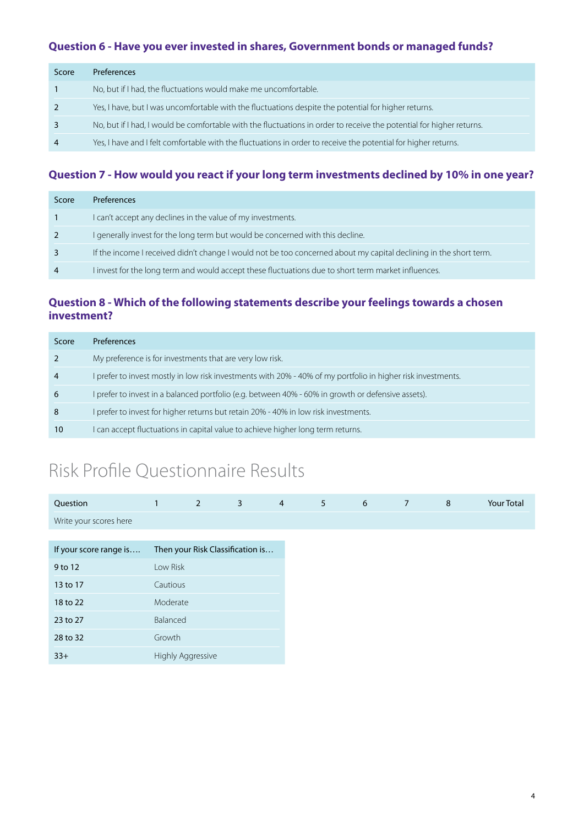### **Question 6 - Have you ever invested in shares, Government bonds or managed funds?**

| Score          | <b>Preferences</b>                                                                                                   |
|----------------|----------------------------------------------------------------------------------------------------------------------|
|                | No, but if I had, the fluctuations would make me uncomfortable.                                                      |
| 2              | Yes, I have, but I was uncomfortable with the fluctuations despite the potential for higher returns.                 |
| 3              | No, but if I had, I would be comfortable with the fluctuations in order to receive the potential for higher returns. |
| $\overline{4}$ | Yes, I have and I felt comfortable with the fluctuations in order to receive the potential for higher returns.       |

# **Question 7 - How would you react if your long term investments declined by 10% in one year?**

| Score          | <b>Preferences</b>                                                                                                |
|----------------|-------------------------------------------------------------------------------------------------------------------|
|                | I can't accept any declines in the value of my investments.                                                       |
| 2              | I generally invest for the long term but would be concerned with this decline.                                    |
| 3              | If the income I received didn't change I would not be too concerned about my capital declining in the short term. |
| $\overline{4}$ | I invest for the long term and would accept these fluctuations due to short term market influences.               |

# **Question 8 - Which of the following statements describe your feelings towards a chosen investment?**

| Score          | <b>Preferences</b>                                                                                           |
|----------------|--------------------------------------------------------------------------------------------------------------|
|                | My preference is for investments that are very low risk.                                                     |
| $\overline{4}$ | I prefer to invest mostly in low risk investments with 20% - 40% of my portfolio in higher risk investments. |
| 6              | I prefer to invest in a balanced portfolio (e.g. between 40% - 60% in growth or defensive assets).           |
| 8              | I prefer to invest for higher returns but retain 20% - 40% in low risk investments.                          |
| 10             | I can accept fluctuations in capital value to achieve higher long term returns.                              |

# Risk Profile Questionnaire Results

| Question               | $\mathbf{1}$ | $\overline{2}$           | $\overline{3}$                   | $\overline{4}$ |
|------------------------|--------------|--------------------------|----------------------------------|----------------|
| Write your scores here |              |                          |                                  |                |
|                        |              |                          |                                  |                |
| If your score range is |              |                          | Then your Risk Classification is |                |
| 9 to 12                | Low Risk     |                          |                                  |                |
| 13 to 17               | Cautious     |                          |                                  |                |
| 18 to 22               | Moderate     |                          |                                  |                |
| 23 to 27               | Balanced     |                          |                                  |                |
| 28 to 32               | Growth       |                          |                                  |                |
| $33+$                  |              | <b>Highly Aggressive</b> |                                  |                |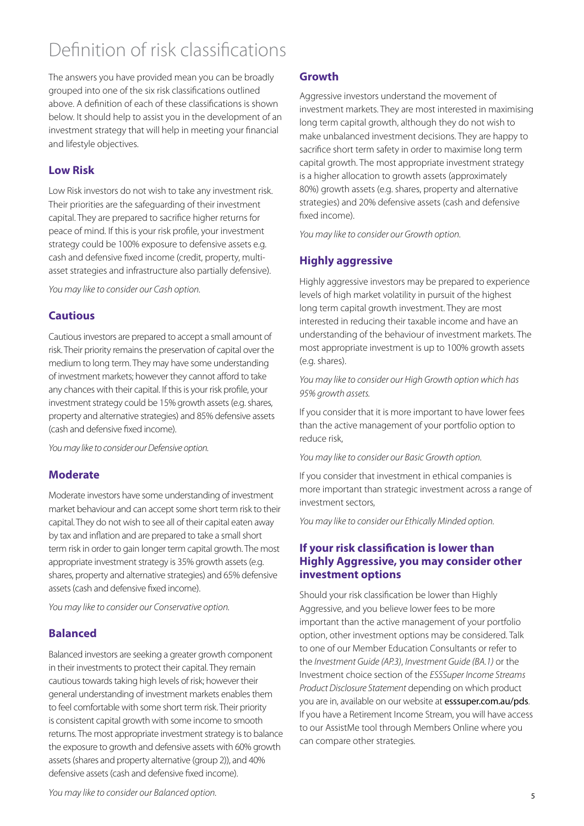# Definition of risk classifications

The answers you have provided mean you can be broadly grouped into one of the six risk classifications outlined above. A definition of each of these classifications is shown below. It should help to assist you in the development of an investment strategy that will help in meeting your financial and lifestyle objectives.

### **Low Risk**

Low Risk investors do not wish to take any investment risk. Their priorities are the safeguarding of their investment capital. They are prepared to sacrifice higher returns for peace of mind. If this is your risk profile, your investment strategy could be 100% exposure to defensive assets e.g. cash and defensive fixed income (credit, property, multiasset strategies and infrastructure also partially defensive).

*You may like to consider our Cash option.*

### **Cautious**

Cautious investors are prepared to accept a small amount of risk. Their priority remains the preservation of capital over the medium to long term. They may have some understanding of investment markets; however they cannot afford to take any chances with their capital. If this is your risk profile, your investment strategy could be 15% growth assets (e.g. shares, property and alternative strategies) and 85% defensive assets (cash and defensive fixed income).

*You may like to consider our Defensive option.*

#### **Moderate**

Moderate investors have some understanding of investment market behaviour and can accept some short term risk to their capital. They do not wish to see all of their capital eaten away by tax and inflation and are prepared to take a small short term risk in order to gain longer term capital growth. The most appropriate investment strategy is 35% growth assets (e.g. shares, property and alternative strategies) and 65% defensive assets (cash and defensive fixed income).

*You may like to consider our Conservative option.*

#### **Balanced**

Balanced investors are seeking a greater growth component in their investments to protect their capital. They remain cautious towards taking high levels of risk; however their general understanding of investment markets enables them to feel comfortable with some short term risk. Their priority is consistent capital growth with some income to smooth returns. The most appropriate investment strategy is to balance the exposure to growth and defensive assets with 60% growth assets (shares and property alternative (group 2)), and 40% defensive assets (cash and defensive fixed income).

### **Growth**

Aggressive investors understand the movement of investment markets. They are most interested in maximising long term capital growth, although they do not wish to make unbalanced investment decisions. They are happy to sacrifice short term safety in order to maximise long term capital growth. The most appropriate investment strategy is a higher allocation to growth assets (approximately 80%) growth assets (e.g. shares, property and alternative strategies) and 20% defensive assets (cash and defensive fixed income).

*You may like to consider our Growth option.*

# **Highly aggressive**

Highly aggressive investors may be prepared to experience levels of high market volatility in pursuit of the highest long term capital growth investment. They are most interested in reducing their taxable income and have an understanding of the behaviour of investment markets. The most appropriate investment is up to 100% growth assets (e.g. shares).

*You may like to consider our High Growth option which has 95% growth assets.*

If you consider that it is more important to have lower fees than the active management of your portfolio option to reduce risk,

*You may like to consider our Basic Growth option.*

If you consider that investment in ethical companies is more important than strategic investment across a range of investment sectors,

*You may like to consider our Ethically Minded option.*

#### **If your risk classification is lower than Highly Aggressive, you may consider other investment options**

Should your risk classification be lower than Highly Aggressive, and you believe lower fees to be more important than the active management of your portfolio option, other investment options may be considered. Talk to one of our Member Education Consultants or refer to the *Investment Guide (AP.3)*, *Investment Guide (BA.1)* or the Investment choice section of the *ESSSuper Income Streams Product Disclosure Statement* depending on which product you are in, available on our website at esssuper.com.au/pds. If you have a Retirement Income Stream, you will have access to our AssistMe tool through Members Online where you can compare other strategies.

*You may like to consider our Balanced option.*